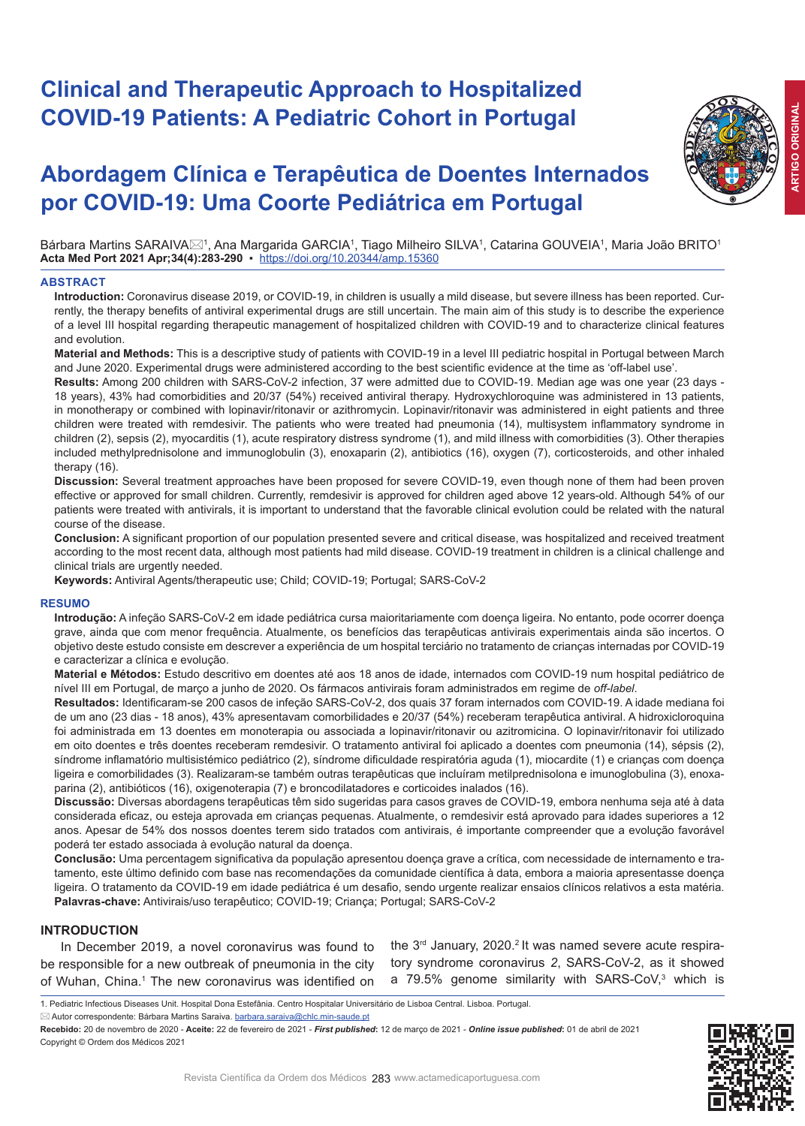# **Clinical and Therapeutic Approach to Hospitalized COVID-19 Patients: A Pediatric Cohort in Portugal**

# **Abordagem Clínica e Terapêutica de Doentes Internados por COVID-19: Uma Coorte Pediátrica em Portugal**

Bárbara Martins SARAIVA⊠1, Ana Margarida GARCIA1, Tiago Milheiro SILVA1, Catarina GOUVEIA1, Maria João BRITO1 **Acta Med Port 2021 Apr;34(4):283-290** ▪https://doi.org/10.20344/amp.15360

# **ABSTRACT**

**Introduction:** Coronavirus disease 2019, or COVID-19, in children is usually a mild disease, but severe illness has been reported. Currently, the therapy benefits of antiviral experimental drugs are still uncertain. The main aim of this study is to describe the experience of a level III hospital regarding therapeutic management of hospitalized children with COVID-19 and to characterize clinical features and evolution.

**Material and Methods:** This is a descriptive study of patients with COVID-19 in a level III pediatric hospital in Portugal between March and June 2020. Experimental drugs were administered according to the best scientific evidence at the time as 'off-label use'.

**Results:** Among 200 children with SARS-CoV-2 infection, 37 were admitted due to COVID-19. Median age was one year (23 days - 18 years), 43% had comorbidities and 20/37 (54%) received antiviral therapy. Hydroxychloroquine was administered in 13 patients, in monotherapy or combined with lopinavir/ritonavir or azithromycin. Lopinavir/ritonavir was administered in eight patients and three children were treated with remdesivir. The patients who were treated had pneumonia (14), multisystem inflammatory syndrome in children (2), sepsis (2), myocarditis (1), acute respiratory distress syndrome (1), and mild illness with comorbidities (3). Other therapies included methylprednisolone and immunoglobulin (3), enoxaparin (2), antibiotics (16), oxygen (7), corticosteroids, and other inhaled therapy (16).

**Discussion:** Several treatment approaches have been proposed for severe COVID-19, even though none of them had been proven effective or approved for small children. Currently, remdesivir is approved for children aged above 12 years-old. Although 54% of our patients were treated with antivirals, it is important to understand that the favorable clinical evolution could be related with the natural course of the disease.

**Conclusion:** A significant proportion of our population presented severe and critical disease, was hospitalized and received treatment according to the most recent data, although most patients had mild disease. COVID-19 treatment in children is a clinical challenge and clinical trials are urgently needed.

**Keywords:** Antiviral Agents/therapeutic use; Child; COVID-19; Portugal; SARS-CoV-2

### **RESUMO**

**Introdução:** A infeção SARS-CoV-2 em idade pediátrica cursa maioritariamente com doença ligeira. No entanto, pode ocorrer doença grave, ainda que com menor frequência. Atualmente, os benefícios das terapêuticas antivirais experimentais ainda são incertos. O objetivo deste estudo consiste em descrever a experiência de um hospital terciário no tratamento de crianças internadas por COVID-19 e caracterizar a clínica e evolução.

**Material e Métodos:** Estudo descritivo em doentes até aos 18 anos de idade, internados com COVID-19 num hospital pediátrico de nível III em Portugal, de março a junho de 2020. Os fármacos antivirais foram administrados em regime de *off-label*.

**Resultados:** Identificaram-se 200 casos de infeção SARS-CoV-2, dos quais 37 foram internados com COVID-19. A idade mediana foi de um ano (23 dias - 18 anos), 43% apresentavam comorbilidades e 20/37 (54%) receberam terapêutica antiviral. A hidroxicloroquina foi administrada em 13 doentes em monoterapia ou associada a lopinavir/ritonavir ou azitromicina. O lopinavir/ritonavir foi utilizado em oito doentes e três doentes receberam remdesivir. O tratamento antiviral foi aplicado a doentes com pneumonia (14), sépsis (2), síndrome inflamatório multisistémico pediátrico (2), síndrome dificuldade respiratória aguda (1), miocardite (1) e crianças com doença ligeira e comorbilidades (3). Realizaram-se também outras terapêuticas que incluíram metilprednisolona e imunoglobulina (3), enoxaparina (2), antibióticos (16), oxigenoterapia (7) e broncodilatadores e corticoides inalados (16).

**Discussão:** Diversas abordagens terapêuticas têm sido sugeridas para casos graves de COVID-19, embora nenhuma seja até à data considerada eficaz, ou esteja aprovada em crianças pequenas. Atualmente, o remdesivir está aprovado para idades superiores a 12 anos. Apesar de 54% dos nossos doentes terem sido tratados com antivirais, é importante compreender que a evolução favorável poderá ter estado associada à evolução natural da doença.

**Conclusão:** Uma percentagem significativa da população apresentou doença grave a crítica, com necessidade de internamento e tratamento, este último definido com base nas recomendações da comunidade científica à data, embora a maioria apresentasse doença ligeira. O tratamento da COVID-19 em idade pediátrica é um desafio, sendo urgente realizar ensaios clínicos relativos a esta matéria. **Palavras-chave:** Antivirais/uso terapêutico; COVID-19; Criança; Portugal; SARS-CoV-2

### **INTRODUCTION**

In December 2019, a novel coronavirus was found to be responsible for a new outbreak of pneumonia in the city of Wuhan, China.<sup>1</sup> The new coronavirus was identified on the 3<sup>rd</sup> January, 2020.<sup>2</sup> It was named severe acute respiratory syndrome coronavirus *2*, SARS-CoV-2, as it showed a 79.5% genome similarity with SARS-CoV, $3$  which is

⊠ Autor correspondente: Bárbara Martins Saraiva. barbara.saraiva@chlc.min-saude.pt

**Recebido:** 20 de novembro de 2020 - **Aceite:** 22 de fevereiro de 2021 - *First published***:** 12 de março de 2021 - *Online issue published***:** 01 de abril de 2021 Copyright © Ordem dos Médicos 2021



<sup>1.</sup> Pediatric Infectious Diseases Unit. Hospital Dona Estefânia. Centro Hospitalar Universitário de Lisboa Central. Lisboa. Portugal.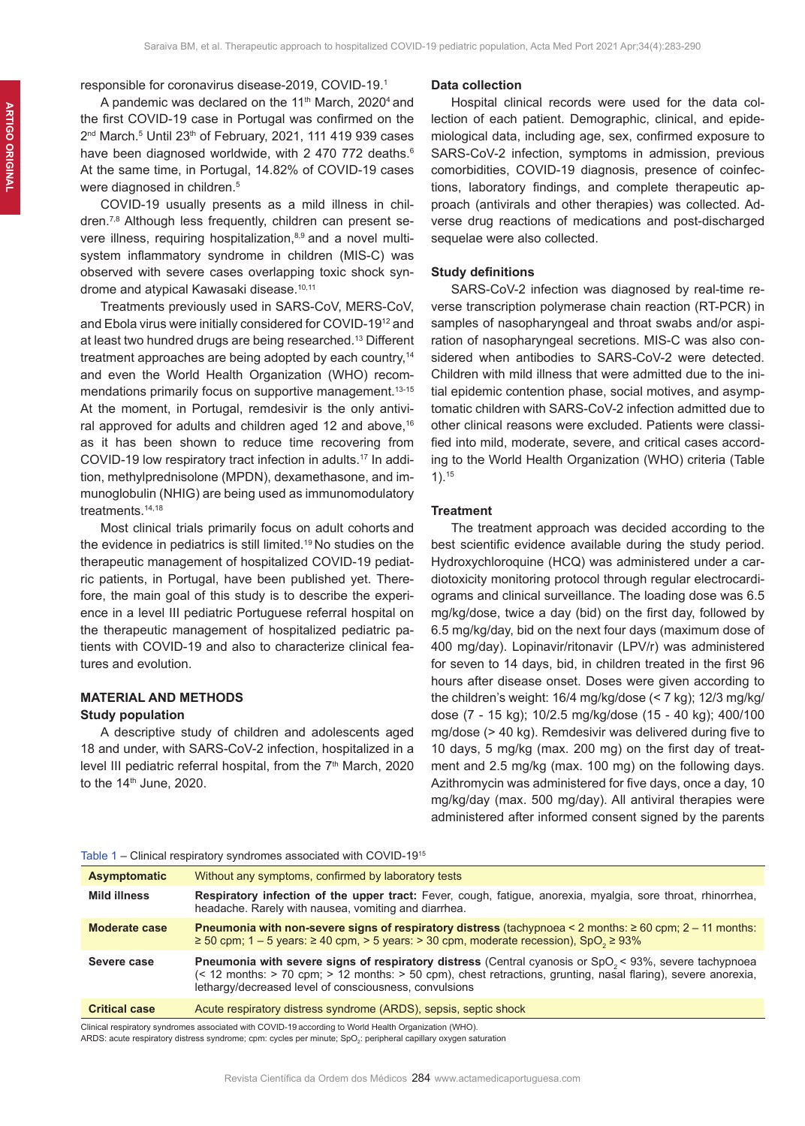responsible for coronavirus disease-2019, COVID-19.1

A pandemic was declared on the 11<sup>th</sup> March, 2020<sup>4</sup> and the first COVID-19 case in Portugal was confirmed on the 2<sup>nd</sup> March.<sup>5</sup> Until 23<sup>th</sup> of February, 2021, 111 419 939 cases have been diagnosed worldwide, with 2 470 772 deaths.<sup>6</sup> At the same time, in Portugal, 14.82% of COVID-19 cases were diagnosed in children.<sup>5</sup>

COVID-19 usually presents as a mild illness in children.7,8 Although less frequently, children can present severe illness, requiring hospitalization,<sup>8,9</sup> and a novel multisystem inflammatory syndrome in children (MIS-C) was observed with severe cases overlapping toxic shock syndrome and atypical Kawasaki disease.<sup>10,11</sup>

Treatments previously used in SARS-CoV, MERS-CoV, and Ebola virus were initially considered for COVID-1912 and at least two hundred drugs are being researched.13 Different treatment approaches are being adopted by each country,<sup>14</sup> and even the World Health Organization (WHO) recommendations primarily focus on supportive management.<sup>13-15</sup> At the moment, in Portugal, remdesivir is the only antiviral approved for adults and children aged 12 and above, $16$ as it has been shown to reduce time recovering from COVID-19 low respiratory tract infection in adults.17 In addition, methylprednisolone (MPDN), dexamethasone, and immunoglobulin (NHIG) are being used as immunomodulatory treatments.<sup>14,18</sup>

Most clinical trials primarily focus on adult cohorts and the evidence in pediatrics is still limited.<sup>19</sup> No studies on the therapeutic management of hospitalized COVID-19 pediatric patients, in Portugal, have been published yet. Therefore, the main goal of this study is to describe the experience in a level III pediatric Portuguese referral hospital on the therapeutic management of hospitalized pediatric patients with COVID-19 and also to characterize clinical features and evolution.

# **MATERIAL AND METHODS**

# **Study population**

A descriptive study of children and adolescents aged 18 and under, with SARS-CoV-2 infection, hospitalized in a level III pediatric referral hospital, from the  $7<sup>th</sup>$  March, 2020 to the  $14<sup>th</sup>$  June, 2020.

#### **Data collection**

Hospital clinical records were used for the data collection of each patient. Demographic, clinical, and epidemiological data, including age, sex, confirmed exposure to SARS-CoV-2 infection, symptoms in admission, previous comorbidities, COVID-19 diagnosis, presence of coinfections, laboratory findings, and complete therapeutic approach (antivirals and other therapies) was collected. Adverse drug reactions of medications and post-discharged sequelae were also collected.

## **Study definitions**

SARS-CoV-2 infection was diagnosed by real-time reverse transcription polymerase chain reaction (RT-PCR) in samples of nasopharyngeal and throat swabs and/or aspiration of nasopharyngeal secretions. MIS-C was also considered when antibodies to SARS-CoV-2 were detected. Children with mild illness that were admitted due to the initial epidemic contention phase, social motives, and asymptomatic children with SARS-CoV-2 infection admitted due to other clinical reasons were excluded. Patients were classified into mild, moderate, severe, and critical cases according to the World Health Organization (WHO) criteria (Table 1).15

#### **Treatment**

The treatment approach was decided according to the best scientific evidence available during the study period. Hydroxychloroquine (HCQ) was administered under a cardiotoxicity monitoring protocol through regular electrocardiograms and clinical surveillance. The loading dose was 6.5 mg/kg/dose, twice a day (bid) on the first day, followed by 6.5 mg/kg/day, bid on the next four days (maximum dose of 400 mg/day). Lopinavir/ritonavir (LPV/r) was administered for seven to 14 days, bid, in children treated in the first 96 hours after disease onset. Doses were given according to the children's weight: 16/4 mg/kg/dose (< 7 kg); 12/3 mg/kg/ dose (7 - 15 kg); 10/2.5 mg/kg/dose (15 - 40 kg); 400/100 mg/dose (> 40 kg). Remdesivir was delivered during five to 10 days, 5 mg/kg (max. 200 mg) on the first day of treatment and 2.5 mg/kg (max. 100 mg) on the following days. Azithromycin was administered for five days, once a day, 10 mg/kg/day (max. 500 mg/day). All antiviral therapies were administered after informed consent signed by the parents

| Table 1 – Clinical respiratory syndromes associated with COVID-19 <sup>15</sup> |  |
|---------------------------------------------------------------------------------|--|
|---------------------------------------------------------------------------------|--|

| <b>Asymptomatic</b>  | Without any symptoms, confirmed by laboratory tests                                                                                                                                                                                                                                                           |
|----------------------|---------------------------------------------------------------------------------------------------------------------------------------------------------------------------------------------------------------------------------------------------------------------------------------------------------------|
| Mild illness         | <b>Respiratory infection of the upper tract:</b> Fever, cough, fatigue, anorexia, myalgia, sore throat, rhinorrhea,<br>headache. Rarely with nausea, vomiting and diarrhea.                                                                                                                                   |
| Moderate case        | <b>Pneumonia with non-severe signs of respiratory distress (tachypnoea &lt; 2 months: <math>\geq 60</math> cpm; 2 – 11 months:</b><br>$\geq$ 50 cpm; 1 – 5 years: $\geq$ 40 cpm, $>$ 5 years: $>$ 30 cpm, moderate recession), SpO <sub>3</sub> $\geq$ 93%                                                    |
| Severe case          | <b>Pneumonia with severe signs of respiratory distress</b> (Central cyanosis or SpO <sub>2</sub> < 93%, severe tachypnoea<br>$($ < 12 months: $>$ 70 cpm; $>$ 12 months: $>$ 50 cpm), chest retractions, grunting, nasal flaring), severe anorexia,<br>lethargy/decreased level of consciousness, convulsions |
| <b>Critical case</b> | Acute respiratory distress syndrome (ARDS), sepsis, septic shock                                                                                                                                                                                                                                              |

Clinical respiratory syndromes associated with COVID-19 according to World Health Organization (WHO). ARDS: acute respiratory distress syndrome; cpm: cycles per minute; SpO $_2$ : peripheral capillary oxygen saturation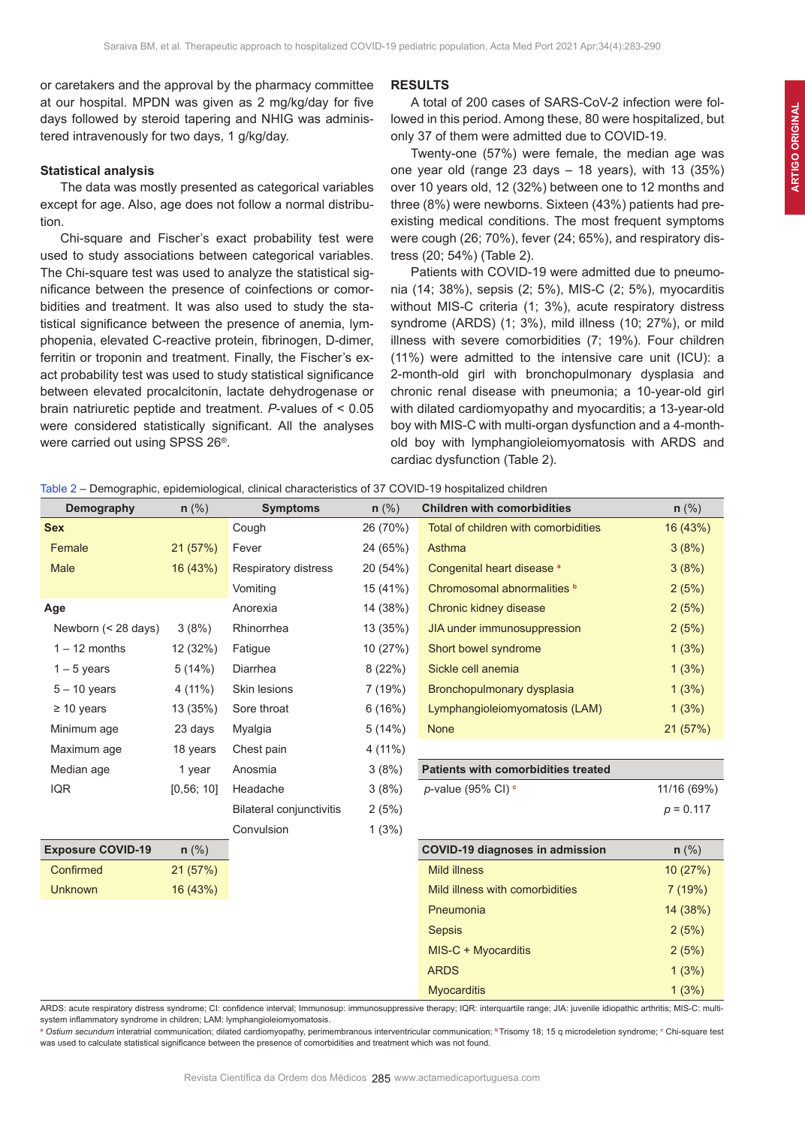or caretakers and the approval by the pharmacy committee at our hospital. MPDN was given as 2 mg/kg/day for five days followed by steroid tapering and NHIG was administered intravenously for two days, 1 g/kg/day.

#### **Statistical analysis**

The data was mostly presented as categorical variables except for age. Also, age does not follow a normal distribution.

Chi-square and Fischer's exact probability test were used to study associations between categorical variables. The Chi-square test was used to analyze the statistical significance between the presence of coinfections or comorbidities and treatment. It was also used to study the statistical significance between the presence of anemia, lymphopenia, elevated C-reactive protein, fibrinogen, D-dimer, ferritin or troponin and treatment. Finally, the Fischer's exact probability test was used to study statistical significance between elevated procalcitonin, lactate dehydrogenase or brain natriuretic peptide and treatment. *P*-values of < 0.05 were considered statistically significant. All the analyses were carried out using SPSS 26®.

#### **RESULTS**

A total of 200 cases of SARS-CoV-2 infection were followed in this period. Among these, 80 were hospitalized, but only 37 of them were admitted due to COVID-19.

Twenty-one (57%) were female, the median age was one year old (range 23 days – 18 years), with 13 (35%) over 10 years old, 12 (32%) between one to 12 months and three (8%) were newborns. Sixteen (43%) patients had preexisting medical conditions. The most frequent symptoms were cough (26; 70%), fever (24; 65%), and respiratory distress (20; 54%) (Table 2).

Patients with COVID-19 were admitted due to pneumonia (14; 38%), sepsis (2; 5%), MIS-C (2; 5%), myocarditis without MIS-C criteria (1: 3%), acute respiratory distress syndrome (ARDS) (1; 3%), mild illness (10; 27%), or mild illness with severe comorbidities (7; 19%). Four children (11%) were admitted to the intensive care unit (ICU): a 2-month-old girl with bronchopulmonary dysplasia and chronic renal disease with pneumonia; a 10-year-old girl with dilated cardiomyopathy and myocarditis; a 13-year-old boy with MIS-C with multi-organ dysfunction and a 4-monthold boy with lymphangioleiomyomatosis with ARDS and cardiac dysfunction (Table 2).

| Table 2 – Demographic, epidemiological, clinical characteristics of 37 COVID-19 hospitalized children |  |  |
|-------------------------------------------------------------------------------------------------------|--|--|
|-------------------------------------------------------------------------------------------------------|--|--|

| Demography               | $n$ (%)    | <b>Symptoms</b>                 | $n$ (%)  | <b>Children with comorbidities</b>   | $n$ (%)     |
|--------------------------|------------|---------------------------------|----------|--------------------------------------|-------------|
| <b>Sex</b>               |            | Cough                           | 26 (70%) | Total of children with comorbidities | 16 (43%)    |
| Female                   | 21(57%)    | Fever                           | 24 (65%) | Asthma                               | 3(8%)       |
| Male                     | 16 (43%)   | Respiratory distress            | 20 (54%) | Congenital heart disease a           | 3(8%)       |
|                          |            | Vomiting                        | 15 (41%) | Chromosomal abnormalities b          | 2(5%)       |
| Age                      |            | Anorexia                        | 14 (38%) | Chronic kidney disease               | 2(5%)       |
| Newborn (< 28 days)      | 3(8%)      | Rhinorrhea                      | 13 (35%) | JIA under immunosuppression          | 2(5%)       |
| $1 - 12$ months          | 12 (32%)   | Fatigue                         | 10 (27%) | Short bowel syndrome                 | 1(3%)       |
| $1 - 5$ years            | 5(14%)     | Diarrhea                        | 8(22%)   | Sickle cell anemia                   | 1(3%)       |
| $5 - 10$ years           | $4(11\%)$  | Skin lesions                    | 7(19%)   | Bronchopulmonary dysplasia           | 1(3%)       |
| $\geq 10$ years          | 13 (35%)   | Sore throat                     | 6(16%)   | Lymphangioleiomyomatosis (LAM)       | 1(3%)       |
| Minimum age              | 23 days    | Myalgia                         | 5(14%)   | <b>None</b>                          | 21(57%)     |
| Maximum age              | 18 years   | Chest pain                      | 4 (11%)  |                                      |             |
| Median age               | 1 year     | Anosmia                         | 3(8%)    | Patients with comorbidities treated  |             |
| <b>IQR</b>               | [0,56; 10] | Headache                        | 3(8%)    | $p$ -value (95% CI) $c$              | 11/16 (69%) |
|                          |            | <b>Bilateral conjunctivitis</b> | 2(5%)    |                                      | $p = 0.117$ |
|                          |            | Convulsion                      | 1(3%)    |                                      |             |
| <b>Exposure COVID-19</b> | $n$ (%)    |                                 |          | COVID-19 diagnoses in admission      | $n$ (%)     |
| Confirmed                | 21(57%)    |                                 |          | <b>Mild illness</b>                  | 10(27%)     |
| <b>Unknown</b>           | 16 (43%)   |                                 |          | Mild illness with comorbidities      | 7(19%)      |
|                          |            |                                 |          | Pneumonia                            | 14 (38%)    |
|                          |            |                                 |          | <b>Sepsis</b>                        | 2(5%)       |
|                          |            |                                 |          | MIS-C + Myocarditis                  | 2(5%)       |
|                          |            |                                 |          | <b>ARDS</b>                          | 1(3%)       |
|                          |            |                                 |          | <b>Mvocarditis</b>                   | 1(3%)       |

ARDS: acute respiratory distress syndrome; CI: confidence interval; Immunosup: immunosuppressive therapy; IQR: interquartile range; JIA: juvenile idiopathic arthritis; MIS-C: multisystem inflammatory syndrome in children; LAM: lymphangioleiomyomatosis.

**<sup>a</sup>** *Ostium secundum* interatrial communication; dilated cardiomyopathy, perimembranous interventricular communication; **<sup>b</sup>** Trisomy 18; 15 q microdeletion syndrome; **<sup>c</sup>** Chi-square test was used to calculate statistical significance between the presence of comorbidities and treatment which was not found.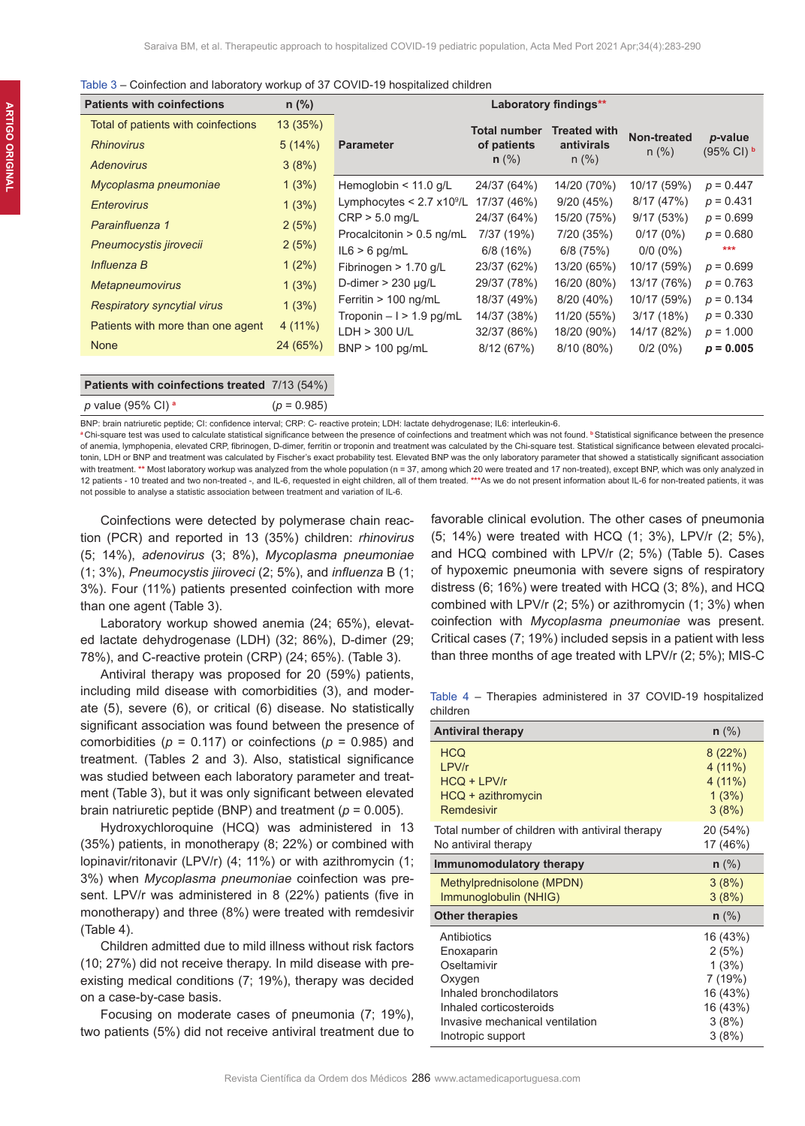| Table 3 – Coinfection and laboratory workup of 37 COVID-19 hospitalized children |  |  |  |  |  |
|----------------------------------------------------------------------------------|--|--|--|--|--|
|----------------------------------------------------------------------------------|--|--|--|--|--|

| <b>Patients with coinfections</b>   | $n$ (%)   |                                    |                     | Laboratory findings** |                        |                       |
|-------------------------------------|-----------|------------------------------------|---------------------|-----------------------|------------------------|-----------------------|
| Total of patients with coinfections | 13 (35%)  |                                    | <b>Total number</b> | <b>Treated with</b>   |                        |                       |
| <b>Rhinovirus</b>                   | 5(14%)    | <b>Parameter</b>                   | of patients         | antivirals            | Non-treated<br>$n$ (%) | p-value<br>(95% CI) b |
| <b>Adenovirus</b>                   | 3(8%)     |                                    | $n$ (%)             | $n$ (%)               |                        |                       |
| Mycoplasma pneumoniae               | 1(3%)     | Hemoglobin $< 11.0$ g/L            | 24/37 (64%)         | 14/20 (70%)           | 10/17 (59%)            | $p = 0.447$           |
| <b>Enterovirus</b>                  | 1(3%)     | Lymphocytes $< 2.7 \times 10^9$ /L | 17/37 (46%)         | 9/20(45%)             | 8/17(47%)              | $p = 0.431$           |
| Parainfluenza 1                     | 2(5%)     | $CRP > 5.0$ mg/L                   | 24/37 (64%)         | 15/20 (75%)           | 9/17(53%)              | $p = 0.699$           |
|                                     |           | Procalcitonin > 0.5 ng/mL          | 7/37 (19%)          | 7/20 (35%)            | 0/17(0%)               | $p = 0.680$           |
| Pneumocystis jirovecii              | 2(5%)     | $IL6 > 6$ pg/mL                    | 6/8 (16%)           | 6/8(75%)              | $0/0(0\%)$             | ***                   |
| Influenza B                         | $1(2\%)$  | Fibrinogen $> 1.70$ g/L            | 23/37 (62%)         | 13/20 (65%)           | 10/17 (59%)            | $p = 0.699$           |
| <b>Metapneumovirus</b>              | 1(3%)     | D-dimer $> 230$ $\mu$ g/L          | 29/37 (78%)         | 16/20 (80%)           | 13/17 (76%)            | $p = 0.763$           |
| <b>Respiratory syncytial virus</b>  | 1(3%)     | Ferritin $> 100$ ng/mL             | 18/37 (49%)         | 8/20 (40%)            | 10/17 (59%)            | $p = 0.134$           |
|                                     |           | Troponin $-1 > 1.9$ pg/mL          | 14/37 (38%)         | 11/20 (55%)           | 3/17(18%)              | $p = 0.330$           |
| Patients with more than one agent   | $4(11\%)$ | $LDH > 300$ U/L                    | 32/37 (86%)         | 18/20 (90%)           | 14/17 (82%)            | $p = 1.000$           |
| <b>None</b>                         | 24 (65%)  | $BNP > 100$ pg/mL                  | 8/12(67%)           | 8/10 (80%)            | 0/2(0%)                | $p = 0.005$           |
|                                     |           |                                    |                     |                       |                        |                       |

# **Patients with coinfections treated** 7/13 (54%) *p* value (95% CI) **<sup>a</sup>** (*p* = 0.985)

BNP: brain natriuretic peptide; CI: confidence interval; CRP: C- reactive protein; LDH: lactate dehydrogenase; IL6: interleukin-6.

**<sup>a</sup>** Chi-square test was used to calculate statistical significance between the presence of coinfections and treatment which was not found. **<sup>b</sup>**Statistical significance between the presence of anemia, lymphopenia, elevated CRP, fibrinogen, D-dimer, ferritin or troponin and treatment was calculated by the Chi-square test. Statistical significance between elevated procalcitonin, LDH or BNP and treatment was calculated by Fischer's exact probability test. Elevated BNP was the only laboratory parameter that showed a statistically significant association with treatment. \*\* Most laboratory workup was analyzed from the whole population (n = 37, among which 20 were treated and 17 non-treated), except BNP, which was only analyzed in 12 patients - 10 treated and two non-treated -, and IL-6, requested in eight children, all of them treated. **\*\*\***As we do not present information about IL-6 for non-treated patients, it was not possible to analyse a statistic association between treatment and variation of IL-6.

Coinfections were detected by polymerase chain reaction (PCR) and reported in 13 (35%) children: *rhinovirus* (5; 14%), *adenovirus* (3; 8%), *Mycoplasma pneumoniae*  (1; 3%), *Pneumocystis jiiroveci* (2; 5%), and *influenza* B (1; 3%). Four (11%) patients presented coinfection with more than one agent (Table 3).

Laboratory workup showed anemia (24; 65%), elevated lactate dehydrogenase (LDH) (32; 86%), D-dimer (29; 78%), and C-reactive protein (CRP) (24; 65%). (Table 3).

Antiviral therapy was proposed for 20 (59%) patients, including mild disease with comorbidities (3), and moderate (5), severe (6), or critical (6) disease. No statistically significant association was found between the presence of comorbidities ( $p = 0.117$ ) or coinfections ( $p = 0.985$ ) and treatment. (Tables 2 and 3). Also, statistical significance was studied between each laboratory parameter and treatment (Table 3), but it was only significant between elevated brain natriuretic peptide (BNP) and treatment (*p* = 0.005).

Hydroxychloroquine (HCQ) was administered in 13 (35%) patients, in monotherapy (8; 22%) or combined with lopinavir/ritonavir (LPV/r) (4; 11%) or with azithromycin (1; 3%) when *Mycoplasma pneumoniae* coinfection was present. LPV/r was administered in 8 (22%) patients (five in monotherapy) and three (8%) were treated with remdesivir (Table 4).

Children admitted due to mild illness without risk factors (10; 27%) did not receive therapy. In mild disease with preexisting medical conditions (7; 19%), therapy was decided on a case-by-case basis.

Focusing on moderate cases of pneumonia (7; 19%), two patients (5%) did not receive antiviral treatment due to

favorable clinical evolution. The other cases of pneumonia (5; 14%) were treated with HCQ (1; 3%), LPV/r (2; 5%), and HCQ combined with LPV/r (2; 5%) (Table 5). Cases of hypoxemic pneumonia with severe signs of respiratory distress (6; 16%) were treated with HCQ (3; 8%), and HCQ combined with LPV/r (2; 5%) or azithromycin (1; 3%) when coinfection with *Mycoplasma pneumoniae* was present. Critical cases (7; 19%) included sepsis in a patient with less than three months of age treated with LPV/r (2; 5%); MIS-C

Table 4 – Therapies administered in 37 COVID-19 hospitalized children

| <b>Antiviral therapy</b>                        | $n$ (%)  |
|-------------------------------------------------|----------|
| <b>HCO</b>                                      | 8(22%)   |
| I PV/r                                          | 4(11%)   |
| $HCO + LPV/r$                                   | 4(11%)   |
| $H CQ + azithromycin$                           | 1(3%)    |
| Remdesivir                                      | 3(8%)    |
| Total number of children with antiviral therapy | 20 (54%) |
| No antiviral therapy                            | 17 (46%) |
| Immunomodulatory therapy                        | $n$ (%)  |
| Methylprednisolone (MPDN)                       | 3(8%)    |
| Immunoglobulin (NHIG)                           | 3(8%)    |
| <b>Other therapies</b>                          | $n$ (%)  |
| Antibiotics                                     | 16 (43%) |
| Enoxaparin                                      | 2(5%)    |
| Oseltamivir                                     | 1(3%)    |
| Oxygen                                          | 7 (19%)  |
| Inhaled bronchodilators                         | 16 (43%) |
| Inhaled corticosteroids                         | 16 (43%) |
| Invasive mechanical ventilation                 | 3(8%)    |
| Inotropic support                               | 3(8%)    |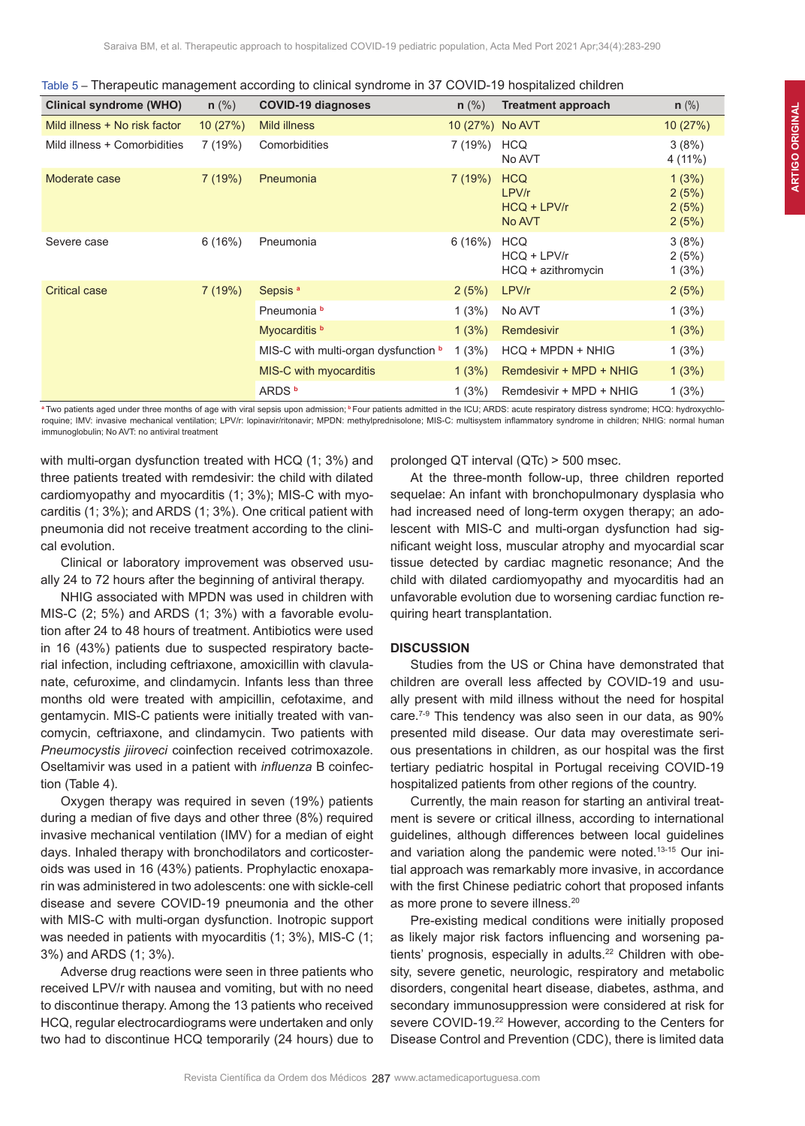|  |  | Table 5 - Therapeutic management according to clinical syndrome in 37 COVID-19 hospitalized children |  |  |
|--|--|------------------------------------------------------------------------------------------------------|--|--|
|  |  |                                                                                                      |  |  |

| <b>Clinical syndrome (WHO)</b> | $n$ (%) | <b>COVID-19 diagnoses</b>                   | $n$ (%)         | <b>Treatment approach</b>                         | $n$ (%)                          |
|--------------------------------|---------|---------------------------------------------|-----------------|---------------------------------------------------|----------------------------------|
| Mild illness + No risk factor  | 10(27%) | <b>Mild illness</b>                         | 10 (27%) No AVT |                                                   | 10(27%)                          |
| Mild illness + Comorbidities   | 7(19%)  | Comorbidities                               | 7 (19%)         | <b>HCQ</b><br>No AVT                              | 3(8%)<br>$4(11\%)$               |
| Moderate case                  | 7(19%)  | Pneumonia                                   | 7(19%)          | <b>HCQ</b><br>LPV/r<br>$HCO + LPV/r$<br>No AVT    | 1(3%)<br>2(5%)<br>2(5%)<br>2(5%) |
| Severe case                    | 6(16%)  | Pneumonia                                   | 6(16%)          | <b>HCQ</b><br>$HCO + LPV/r$<br>HCQ + azithromycin | 3(8%)<br>2(5%)<br>1(3%)          |
| <b>Critical case</b>           | 7(19%)  | Sepsis <sup>a</sup>                         | 2(5%)           | LPV/r                                             | 2(5%)                            |
|                                |         | Pneumonia b                                 | 1(3%)           | No AVT                                            | 1(3%)                            |
|                                |         | Myocarditis <b>b</b>                        | 1(3%)           | Remdesivir                                        | 1(3%)                            |
|                                |         | MIS-C with multi-organ dysfunction <b>b</b> | 1(3%)           | HCQ + MPDN + NHIG                                 | 1(3%)                            |
|                                |         | MIS-C with myocarditis                      | 1(3%)           | Remdesivir + MPD + NHIG                           | 1(3%)                            |
|                                |         | ARDS <sup>b</sup>                           | 1(3%)           | Remdesivir + MPD + NHIG                           | 1(3%)                            |

a Two patients aged under three months of age with viral sepsis upon admission; <sup>b</sup> Four patients admitted in the ICU; ARDS: acute respiratory distress syndrome; HCQ: hydroxychloroquine; IMV: invasive mechanical ventilation; LPV/r: lopinavir/ritonavir; MPDN: methylprednisolone; MIS-C: multisystem inflammatory syndrome in children; NHIG: normal human immunoglobulin; No AVT: no antiviral treatment

with multi-organ dysfunction treated with HCQ (1; 3%) and three patients treated with remdesivir: the child with dilated cardiomyopathy and myocarditis (1; 3%); MIS-C with myocarditis (1; 3%); and ARDS (1; 3%). One critical patient with pneumonia did not receive treatment according to the clinical evolution.

Clinical or laboratory improvement was observed usually 24 to 72 hours after the beginning of antiviral therapy.

NHIG associated with MPDN was used in children with MIS-C (2; 5%) and ARDS (1; 3%) with a favorable evolution after 24 to 48 hours of treatment. Antibiotics were used in 16 (43%) patients due to suspected respiratory bacterial infection, including ceftriaxone, amoxicillin with clavulanate, cefuroxime, and clindamycin. Infants less than three months old were treated with ampicillin, cefotaxime, and gentamycin. MIS-C patients were initially treated with vancomycin, ceftriaxone, and clindamycin. Two patients with *Pneumocystis jiiroveci* coinfection received cotrimoxazole. Oseltamivir was used in a patient with *influenza* B coinfection (Table 4).

Oxygen therapy was required in seven (19%) patients during a median of five days and other three (8%) required invasive mechanical ventilation (IMV) for a median of eight days. Inhaled therapy with bronchodilators and corticosteroids was used in 16 (43%) patients. Prophylactic enoxaparin was administered in two adolescents: one with sickle-cell disease and severe COVID-19 pneumonia and the other with MIS-C with multi-organ dysfunction. Inotropic support was needed in patients with myocarditis (1; 3%), MIS-C (1; 3%) and ARDS (1; 3%).

Adverse drug reactions were seen in three patients who received LPV/r with nausea and vomiting, but with no need to discontinue therapy. Among the 13 patients who received HCQ, regular electrocardiograms were undertaken and only two had to discontinue HCQ temporarily (24 hours) due to prolonged QT interval (QTc) > 500 msec.

At the three-month follow-up, three children reported sequelae: An infant with bronchopulmonary dysplasia who had increased need of long-term oxygen therapy; an adolescent with MIS-C and multi-organ dysfunction had significant weight loss, muscular atrophy and myocardial scar tissue detected by cardiac magnetic resonance; And the child with dilated cardiomyopathy and myocarditis had an unfavorable evolution due to worsening cardiac function requiring heart transplantation.

#### **DISCUSSION**

Studies from the US or China have demonstrated that children are overall less affected by COVID-19 and usually present with mild illness without the need for hospital care.7-9 This tendency was also seen in our data, as 90% presented mild disease. Our data may overestimate serious presentations in children, as our hospital was the first tertiary pediatric hospital in Portugal receiving COVID-19 hospitalized patients from other regions of the country.

Currently, the main reason for starting an antiviral treatment is severe or critical illness, according to international guidelines, although differences between local guidelines and variation along the pandemic were noted.13-15 Our initial approach was remarkably more invasive, in accordance with the first Chinese pediatric cohort that proposed infants as more prone to severe illness.<sup>20</sup>

Pre-existing medical conditions were initially proposed as likely major risk factors influencing and worsening patients' prognosis, especially in adults.<sup>22</sup> Children with obesity, severe genetic, neurologic, respiratory and metabolic disorders, congenital heart disease, diabetes, asthma, and secondary immunosuppression were considered at risk for severe COVID-19.<sup>22</sup> However, according to the Centers for Disease Control and Prevention (CDC), there is limited data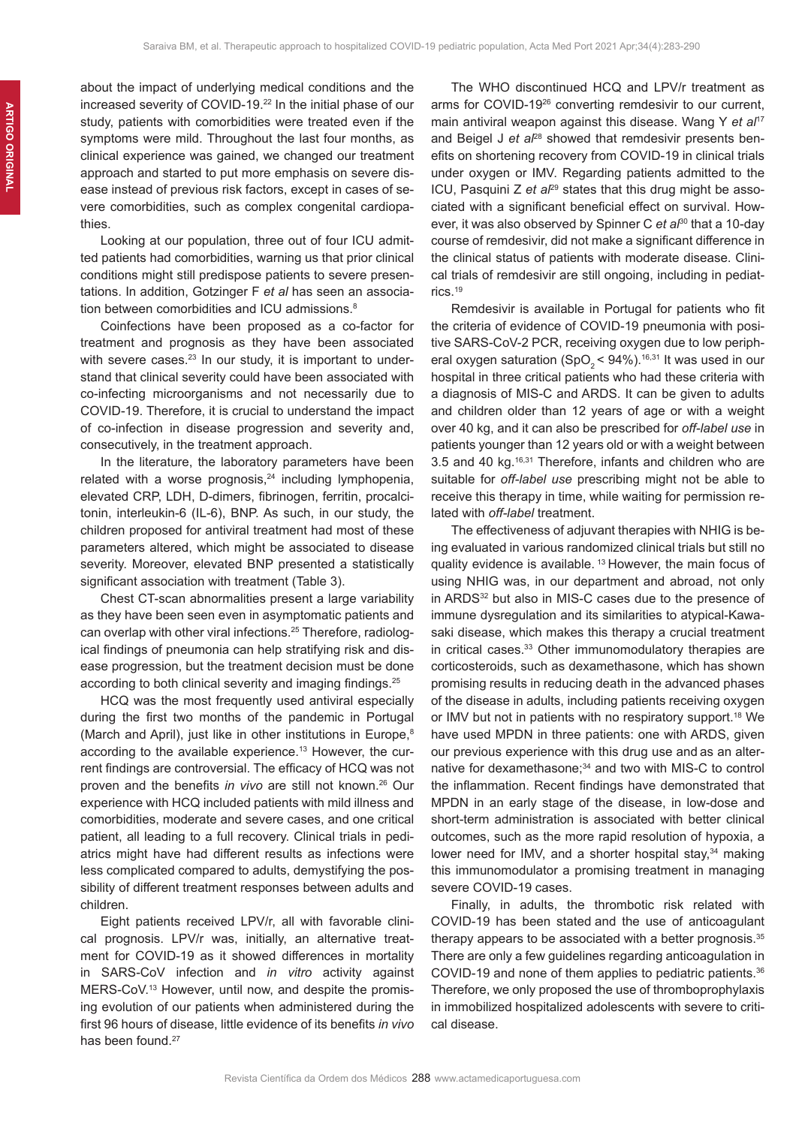about the impact of underlying medical conditions and the increased severity of COVID-19.<sup>22</sup> In the initial phase of our study, patients with comorbidities were treated even if the symptoms were mild. Throughout the last four months, as clinical experience was gained, we changed our treatment approach and started to put more emphasis on severe disease instead of previous risk factors, except in cases of severe comorbidities, such as complex congenital cardiopathies.

Looking at our population, three out of four ICU admitted patients had comorbidities, warning us that prior clinical conditions might still predispose patients to severe presentations. In addition, Gotzinger F *et al* has seen an association between comorbidities and ICU admissions.<sup>8</sup>

Coinfections have been proposed as a co-factor for treatment and prognosis as they have been associated with severe cases.<sup>23</sup> In our study, it is important to understand that clinical severity could have been associated with co-infecting microorganisms and not necessarily due to COVID-19. Therefore, it is crucial to understand the impact of co-infection in disease progression and severity and, consecutively, in the treatment approach.

In the literature, the laboratory parameters have been related with a worse prognosis, $24$  including lymphopenia, elevated CRP, LDH, D-dimers, fibrinogen, ferritin, procalcitonin, interleukin-6 (IL-6), BNP. As such, in our study, the children proposed for antiviral treatment had most of these parameters altered, which might be associated to disease severity. Moreover, elevated BNP presented a statistically significant association with treatment (Table 3).

Chest CT-scan abnormalities present a large variability as they have been seen even in asymptomatic patients and can overlap with other viral infections.<sup>25</sup> Therefore, radiological findings of pneumonia can help stratifying risk and disease progression, but the treatment decision must be done according to both clinical severity and imaging findings.<sup>25</sup>

HCQ was the most frequently used antiviral especially during the first two months of the pandemic in Portugal (March and April), just like in other institutions in Europe,<sup>8</sup> according to the available experience.<sup>13</sup> However, the current findings are controversial. The efficacy of HCQ was not proven and the benefits *in vivo* are still not known.26 Our experience with HCQ included patients with mild illness and comorbidities, moderate and severe cases, and one critical patient, all leading to a full recovery. Clinical trials in pediatrics might have had different results as infections were less complicated compared to adults, demystifying the possibility of different treatment responses between adults and children.

Eight patients received LPV/r, all with favorable clinical prognosis. LPV/r was, initially, an alternative treatment for COVID-19 as it showed differences in mortality in SARS-CoV infection and *in vitro* activity against MERS-CoV.13 However, until now, and despite the promising evolution of our patients when administered during the first 96 hours of disease, little evidence of its benefits *in vivo* has been found.<sup>27</sup>

The WHO discontinued HCQ and LPV/r treatment as arms for COVID-1926 converting remdesivir to our current, main antiviral weapon against this disease. Wang Y *et al*<sup>17</sup> and Beigel J *et al<sup>28</sup>* showed that remdesivir presents benefits on shortening recovery from COVID-19 in clinical trials under oxygen or IMV. Regarding patients admitted to the ICU, Pasquini Z et a<sup>p9</sup> states that this drug might be associated with a significant beneficial effect on survival. However, it was also observed by Spinner C *et al*30 that a 10-day course of remdesivir, did not make a significant difference in the clinical status of patients with moderate disease. Clinical trials of remdesivir are still ongoing, including in pediatrics.19

Remdesivir is available in Portugal for patients who fit the criteria of evidence of COVID-19 pneumonia with positive SARS-CoV-2 PCR, receiving oxygen due to low peripheral oxygen saturation (SpO<sub>2</sub> < 94%).<sup>16,31</sup> It was used in our hospital in three critical patients who had these criteria with a diagnosis of MIS-C and ARDS. It can be given to adults and children older than 12 years of age or with a weight over 40 kg, and it can also be prescribed for *off-label use* in patients younger than 12 years old or with a weight between 3.5 and 40 kg.16,31 Therefore, infants and children who are suitable for *off-label use* prescribing might not be able to receive this therapy in time, while waiting for permission related with *off-label* treatment.

The effectiveness of adjuvant therapies with NHIG is being evaluated in various randomized clinical trials but still no quality evidence is available. 13 However, the main focus of using NHIG was, in our department and abroad, not only in ARDS<sup>32</sup> but also in MIS-C cases due to the presence of immune dysregulation and its similarities to atypical-Kawasaki disease, which makes this therapy a crucial treatment in critical cases.<sup>33</sup> Other immunomodulatory therapies are corticosteroids, such as dexamethasone, which has shown promising results in reducing death in the advanced phases of the disease in adults, including patients receiving oxygen or IMV but not in patients with no respiratory support.<sup>18</sup> We have used MPDN in three patients: one with ARDS, given our previous experience with this drug use and as an alternative for dexamethasone;<sup>34</sup> and two with MIS-C to control the inflammation. Recent findings have demonstrated that MPDN in an early stage of the disease, in low-dose and short-term administration is associated with better clinical outcomes, such as the more rapid resolution of hypoxia, a lower need for IMV, and a shorter hospital stay,<sup>34</sup> making this immunomodulator a promising treatment in managing severe COVID-19 cases.

Finally, in adults, the thrombotic risk related with COVID-19 has been stated and the use of anticoagulant therapy appears to be associated with a better prognosis.<sup>35</sup> There are only a few guidelines regarding anticoagulation in COVID-19 and none of them applies to pediatric patients.<sup>36</sup> Therefore, we only proposed the use of thromboprophylaxis in immobilized hospitalized adolescents with severe to critical disease.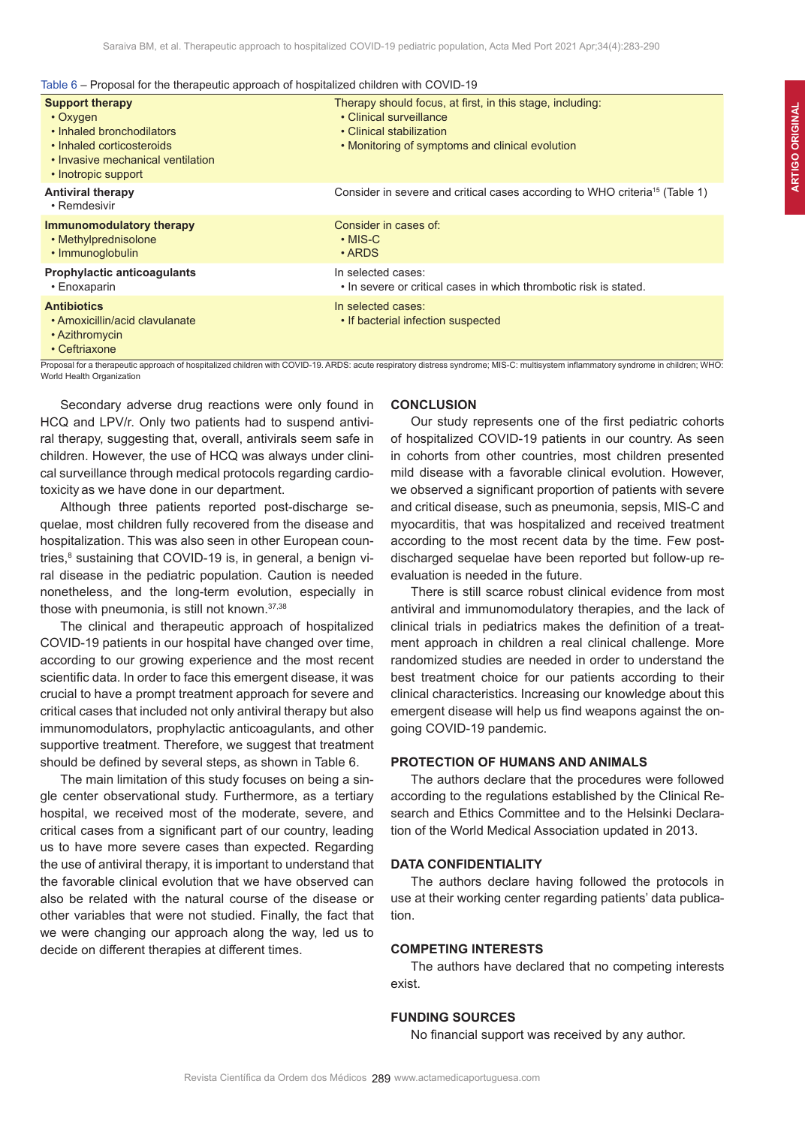Table 6 – Proposal for the therapeutic approach of hospitalized children with COVID-19

| Therapy should focus, at first, in this stage, including:<br>• Clinical surveillance<br>• Clinical stabilization<br>• Monitoring of symptoms and clinical evolution                                                                          |
|----------------------------------------------------------------------------------------------------------------------------------------------------------------------------------------------------------------------------------------------|
| Consider in severe and critical cases according to WHO criteria <sup>15</sup> (Table 1)                                                                                                                                                      |
| Consider in cases of:                                                                                                                                                                                                                        |
| In selected cases:<br>• In severe or critical cases in which thrombotic risk is stated.                                                                                                                                                      |
| In selected cases:<br>• If bacterial infection suspected<br>Proposal for a therapeutic approach of bospitalized children with COVID-19, ARDS: acute respiratory distress syndrome: MIS-C: multisystem inflammatory syndrome in children: WHO |
|                                                                                                                                                                                                                                              |

Proposal for a therapeutic approach of hospitalized children with COVID-19. ARDS: acute respiratory distress syndrome; MIS-C: multisystem inflammatory syndrome in children; WHO: World Health Organization

Secondary adverse drug reactions were only found in HCQ and LPV/r. Only two patients had to suspend antiviral therapy, suggesting that, overall, antivirals seem safe in children. However, the use of HCQ was always under clinical surveillance through medical protocols regarding cardiotoxicity as we have done in our department.

Although three patients reported post-discharge sequelae, most children fully recovered from the disease and hospitalization. This was also seen in other European countries,<sup>8</sup> sustaining that COVID-19 is, in general, a benign viral disease in the pediatric population. Caution is needed nonetheless, and the long-term evolution, especially in those with pneumonia, is still not known.37,38

The clinical and therapeutic approach of hospitalized COVID-19 patients in our hospital have changed over time, according to our growing experience and the most recent scientific data. In order to face this emergent disease, it was crucial to have a prompt treatment approach for severe and critical cases that included not only antiviral therapy but also immunomodulators, prophylactic anticoagulants, and other supportive treatment. Therefore, we suggest that treatment should be defined by several steps, as shown in Table 6.

The main limitation of this study focuses on being a single center observational study. Furthermore, as a tertiary hospital, we received most of the moderate, severe, and critical cases from a significant part of our country, leading us to have more severe cases than expected. Regarding the use of antiviral therapy, it is important to understand that the favorable clinical evolution that we have observed can also be related with the natural course of the disease or other variables that were not studied. Finally, the fact that we were changing our approach along the way, led us to decide on different therapies at different times.

# **CONCLUSION**

Our study represents one of the first pediatric cohorts of hospitalized COVID-19 patients in our country. As seen in cohorts from other countries, most children presented mild disease with a favorable clinical evolution. However, we observed a significant proportion of patients with severe and critical disease, such as pneumonia, sepsis, MIS-C and myocarditis, that was hospitalized and received treatment according to the most recent data by the time. Few postdischarged sequelae have been reported but follow-up reevaluation is needed in the future.

There is still scarce robust clinical evidence from most antiviral and immunomodulatory therapies, and the lack of clinical trials in pediatrics makes the definition of a treatment approach in children a real clinical challenge. More randomized studies are needed in order to understand the best treatment choice for our patients according to their clinical characteristics. Increasing our knowledge about this emergent disease will help us find weapons against the ongoing COVID-19 pandemic.

# **PROTECTION OF HUMANS AND ANIMALS**

The authors declare that the procedures were followed according to the regulations established by the Clinical Research and Ethics Committee and to the Helsinki Declaration of the World Medical Association updated in 2013.

# **DATA CONFIDENTIALITY**

The authors declare having followed the protocols in use at their working center regarding patients' data publication.

# **COMPETING INTERESTS**

The authors have declared that no competing interests exist.

# **FUNDING SOURCES**

No financial support was received by any author.